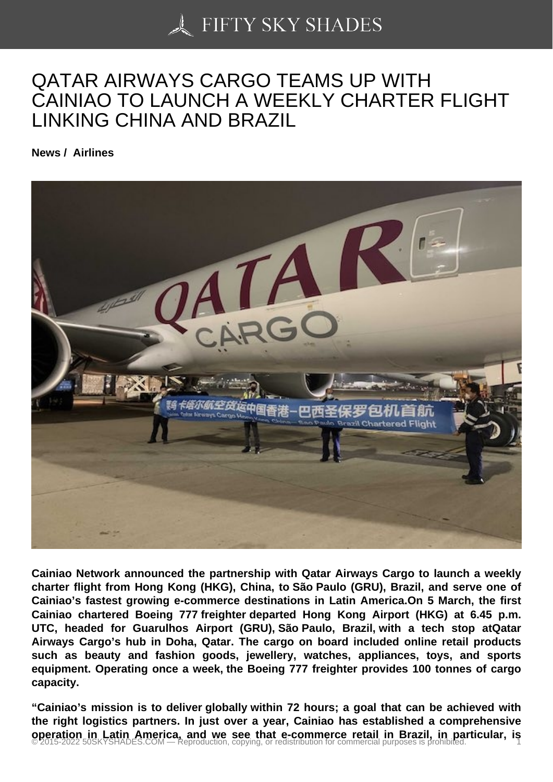## [QATAR AIRWAYS CA](https://50skyshades.com)RGO TEAMS UP WITH CAINIAO TO LAUNCH A WEEKLY CHARTER FLIGHT LINKING CHINA AND BRAZIL

News / Airlines

Cainiao Network announced the partnership with Qatar Airways Cargo to launch a weekly charter flight from Hong Kong (HKG), China, to São Paulo (GRU), Brazil, and serve one of Cainiao's fastest growing e-commerce destinations in Latin America.On 5 March, the first Cainiao chartered Boeing 777 freighter departed Hong Kong Airport (HKG) at 6.45 p.m. UTC, headed for Guarulhos Airport (GRU), São Paulo, Brazil, with a tech stop atQatar Airways Cargo's hub in Doha, Qatar. The cargo on board included online retail products such as beauty and fashion goods, jewellery, watches, appliances, toys, and sports equipment. Operating once a week, the Boeing 777 freighter provides 100 tonnes of cargo capacity.

"Cainiao's mission is to deliver globally within 72 hours; a goal that can be achieved with the right logistics partners. In just over a year, Cainiao has established a comprehensive operation in Latin America, and we see that e-commerce retail in Brazil, in particular, is © 2015-2022 50SKYSHADES.COM — Reproduction, copying, or redistribution for commercial purposes is prohibited. 1